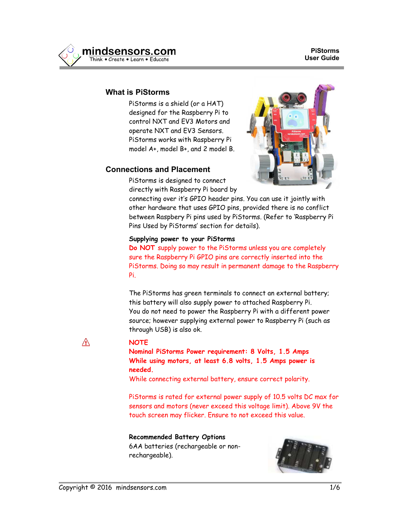

#### **What is PiStorms**

PiStorms is a shield (or a HAT) designed for the Raspberry Pi to control NXT and EV3 Motors and operate NXT and EV3 Sensors. PiStorms works with Raspberry Pi model A+, model B+, and 2 model B.

## **Connections and Placement**

PiStorms is designed to connect directly with Raspberry Pi board by

connecting over it's GPIO header pins. You can use it jointly with other hardware that uses GPIO pins, provided there is no conflict between Raspbery Pi pins used by PiStorms. (Refer to 'Raspberry Pi Pins Used by PiStorms' section for details).

#### **Supplying power to your PiStorms**

**Do NOT** supply power to the PiStorms unless you are completely sure the Raspberry Pi GPIO pins are correctly inserted into the PiStorms. Doing so may result in permanent damage to the Raspberry Pi.

The PiStorms has green terminals to connect an external battery; this battery will also supply power to attached Raspberry Pi. You do not need to power the Raspberry Pi with a different power source; however supplying external power to Raspberry Pi (such as through USB) is also ok.

#### **NOTE**

**Nominal PiStorms Power requirement: 8 Volts, 1.5 Amps While using motors, at least 6.8 volts, 1.5 Amps power is needed.**

While connecting external battery, ensure correct polarity.

PiStorms is rated for external power supply of 10.5 volts DC max for sensors and motors (never exceed this voltage limit). Above 9V the touch screen may flicker. Ensure to not exceed this value.

#### **Recommended Battery Options**

6AA batteries (rechargeable or nonrechargeable).



Ж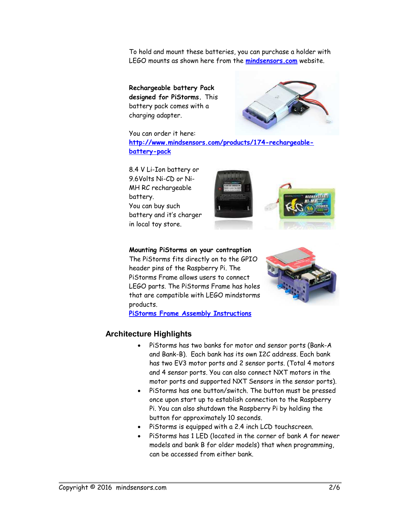To hold and mount these batteries, you can purchase a holder with LEGO mounts as shown here from the **[mindsensors.com](http://www.mindsensors.com/ev3-and-nxt/57-6aa-battery-holder-with-ev3-mount?search_query=battery+&results=12)** website.

**Rechargeable battery Pack designed for PiStorms.** This battery pack comes with a charging adapter.



You can order it here: **[http://www.mindsensors.com/products/174-rechargeable](http://www.mindsensors.com/products/174-rechargeable-battery-pack)[battery-pack](http://www.mindsensors.com/products/174-rechargeable-battery-pack)**

8.4 V Li-Ion battery or 9.6Volts Ni-CD or Ni-MH RC rechargeable battery. You can buy such battery and it's charger in local toy store.



**Mounting PiStorms on your contraption**

The PiStorms fits directly on to the GPIO header pins of the Raspberry Pi. The PiStorms Frame allows users to connect LEGO parts. The PiStorms Frame has holes that are compatible with LEGO mindstorms products.



**[PiStorms Frame Assembly Instructions](http://www.mindsensors.com/blog/how-to/pistorms-frame-assembly)**

## **Architecture Highlights**

- PiStorms has two banks for motor and sensor ports (Bank-A and Bank-B). Each bank has its own I2C address. Each bank has two EV3 motor ports and 2 sensor ports. (Total 4 motors and 4 sensor ports. You can also connect NXT motors in the motor ports and supported NXT Sensors in the sensor ports).
- PiStorms has one button/switch. The button must be pressed once upon start up to establish connection to the Raspberry Pi. You can also shutdown the Raspberry Pi by holding the button for approximately 10 seconds.
- PiStorms is equipped with a 2.4 inch LCD touchscreen.
- PiStorms has 1 LED (located in the corner of bank A for newer models and bank B for older models) that when programming, can be accessed from either bank.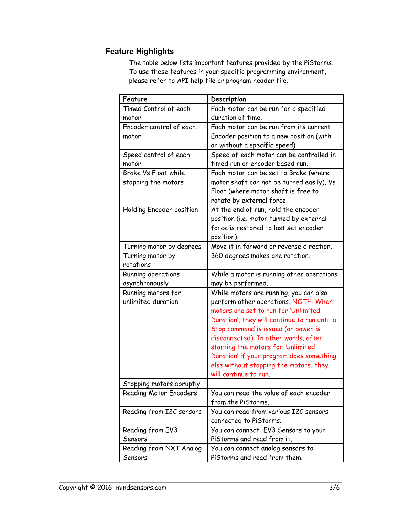# **Feature Highlights**

The table below lists important features provided by the PiStorms. To use these features in your specific programming environment, please refer to API help file or program header file.

| Feature                       | Description                                  |
|-------------------------------|----------------------------------------------|
| Timed Control of each         | Each motor can be run for a specified        |
| motor                         | duration of time.                            |
| Encoder control of each       | Each motor can be run from its current       |
| motor                         | Encoder position to a new position (with     |
|                               | or without a specific speed).                |
| Speed control of each         | Speed of each motor can be controlled in     |
| motor                         | timed run or encoder based run.              |
| Brake Vs Float while          | Each motor can be set to Brake (where        |
| stopping the motors           | motor shaft can not be turned easily), Vs    |
|                               | Float (where motor shaft is free to          |
|                               | rotate by external force.                    |
| Holding Encoder position      | At the end of run, hold the encoder          |
|                               | position (i.e. motor turned by external      |
|                               | force is restored to last set encoder        |
|                               | position).                                   |
| Turning motor by degrees      | Move it in forward or reverse direction.     |
| Turning motor by              | 360 degrees makes one rotation.              |
| rotations                     |                                              |
| Running operations            | While a motor is running other operations    |
| asynchronously                | may be performed.                            |
| Running motors for            | While motors are running, you can also       |
| unlimited duration.           | perform other operations. NOTE: When         |
|                               | motors are set to run for 'Unlimited         |
|                               | Duration', they will continue to run until a |
|                               | Stop command is issued (or power is          |
|                               | disconnected). In other words, after         |
|                               | starting the motors for 'Unlimited           |
|                               | Duration' if your program does something     |
|                               | else without stopping the motors, they       |
|                               | will continue to run.                        |
| Stopping motors abruptly.     |                                              |
| <b>Reading Motor Encoders</b> | You can read the value of each encoder       |
|                               | from the PiStorms.                           |
| Reading from I2C sensors      | You can read from various I2C sensors        |
|                               | connected to PiStorms.                       |
| Reading from EV3              | You can connect EV3 Sensors to your          |
| Sensors                       | PiStorms and read from it.                   |
| Reading from NXT Analog       | You can connect analog sensors to            |
| Sensors                       | PiStorms and read from them.                 |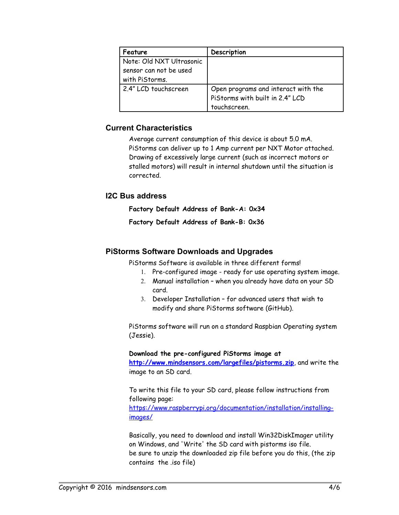| Feature                  | Description                         |
|--------------------------|-------------------------------------|
| Note: Old NXT Ultrasonic |                                     |
| sensor can not be used   |                                     |
| with PiStorms.           |                                     |
| 2.4" LCD touchscreen     | Open programs and interact with the |
|                          | PiStorms with built in 2.4" LCD     |
|                          | touchscreen.                        |

## **Current Characteristics**

Average current consumption of this device is about 5.0 mA. PiStorms can deliver up to 1 Amp current per NXT Motor attached. Drawing of excessively large current (such as incorrect motors or stalled motors) will result in internal shutdown until the situation is corrected.

#### **I2C Bus address**

**Factory Default Address of Bank-A: 0x34**

**Factory Default Address of Bank-B: 0x36**

## **PiStorms Software Downloads and Upgrades**

PiStorms Software is available in three different forms!

- 1. Pre-configured image ready for use operating system image.
- 2. Manual installation when you already have data on your SD card.
- 3. Developer Installation for advanced users that wish to modify and share PiStorms software (GitHub).

PiStorms software will run on a standard Raspbian Operating system (Jessie).

**Download the pre-configured PiStorms image at**

**<http://www.mindsensors.com/largefiles/pistorms.zip>**, and write the image to an SD card.

To write this file to your SD card, please follow instructions from following page:

[https://www.raspberrypi.org/documentation/installation/installing](https://www.raspberrypi.org/documentation/installation/installing-images/)[images/](https://www.raspberrypi.org/documentation/installation/installing-images/)

Basically, you need to download and install Win32DiskImager utility on Windows, and 'Write' the SD card with pistorms iso file. be sure to unzip the downloaded zip file before you do this, (the zip contains the .iso file)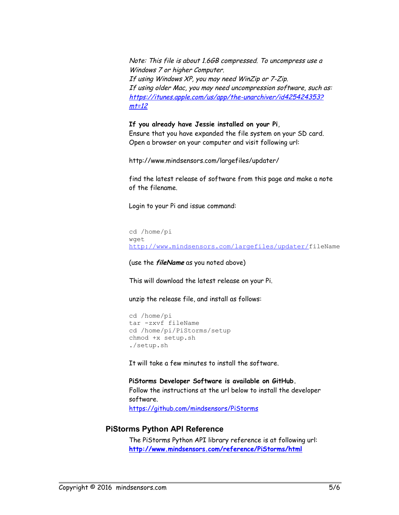Note: This file is about 1.6GB compressed. To uncompress use a Windows 7 or higher Computer. If using Windows XP, you may need WinZip or 7-Zip. If using older Mac, you may need uncompression software, such as: [https://itunes.apple.com/us/app/the-unarchiver/id425424353?](https://itunes.apple.com/us/app/the-unarchiver/id425424353?mt=12)  $m<sub>12</sub>$ 

#### **If you already have Jessie installed on your Pi**,

Ensure that you have expanded the file system on your SD card. Open a browser on your computer and visit following url:

http://www.mindsensors.com/largefiles/updater/

find the latest release of software from this page and make a note of the filename.

Login to your Pi and issue command:

```
cd /home/pi
wget 
http://www.mindsensors.com/largefiles/updater/fileName
```
(use the **fileName** as you noted above)

This will download the latest release on your Pi.

unzip the release file, and install as follows:

```
cd /home/pi
tar -zxvf fileName
cd /home/pi/PiStorms/setup
chmod +x setup.sh
./setup.sh
```
It will take a few minutes to install the software.

**PiStorms Developer Software is available on GitHub.** Follow the instructions at the url below to install the developer software. <https://github.com/mindsensors/PiStorms>

#### **PiStorms Python API Reference**

The PiStorms Python API library reference is at following url: **<http://www.mindsensors.com/reference/PiStorms/html>**